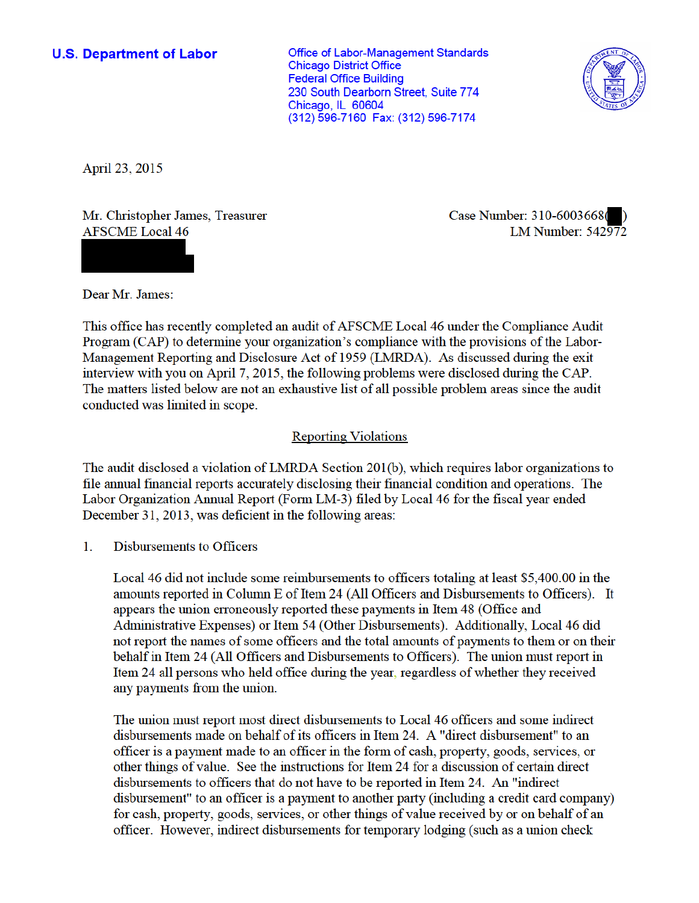Office of Labor-Management Standards **Chicago District Office Federal Office Building** 230 South Dearborn Street, Suite 774 Chicago, IL 60604 (312) 596-7160 Fax: (312) 596-7174



April 23, 2015

Mr. Christopher James, Treasurer **AFSCME** Local 46

Case Number: 310-6003668( LM Number:  $542\overline{97}2$ 

Dear Mr. James:

This office has recently completed an audit of AFSCME Local 46 under the Compliance Audit Program (CAP) to determine your organization's compliance with the provisions of the Labor-Management Reporting and Disclosure Act of 1959 (LMRDA). As discussed during the exit interview with you on April 7, 2015, the following problems were disclosed during the CAP. The matters listed below are not an exhaustive list of all possible problem areas since the audit conducted was limited in scope.

## **Reporting Violations**

The audit disclosed a violation of LMRDA Section 201(b), which requires labor organizations to file annual financial reports accurately disclosing their financial condition and operations. The Labor Organization Annual Report (Form LM-3) filed by Local 46 for the fiscal year ended December 31, 2013, was deficient in the following areas:

 $\mathbf{1}$ Disbursements to Officers

> Local 46 did not include some reimbursements to officers totaling at least \$5,400.00 in the amounts reported in Column E of Item 24 (All Officers and Disbursements to Officers). It appears the union erroneously reported these payments in Item 48 (Office and Administrative Expenses) or Item 54 (Other Disbursements). Additionally, Local 46 did not report the names of some officers and the total amounts of payments to them or on their behalf in Item 24 (All Officers and Disbursements to Officers). The union must report in Item 24 all persons who held office during the year, regardless of whether they received any payments from the union.

> The union must report most direct disbursements to Local 46 officers and some indirect disbursements made on behalf of its officers in Item 24. A "direct disbursement" to an officer is a payment made to an officer in the form of cash, property, goods, services, or other things of value. See the instructions for Item 24 for a discussion of certain direct disbursements to officers that do not have to be reported in Item 24. An "indirect disbursement" to an officer is a payment to another party (including a credit card company) for cash, property, goods, services, or other things of value received by or on behalf of an officer. However, indirect disbursements for temporary lodging (such as a union check